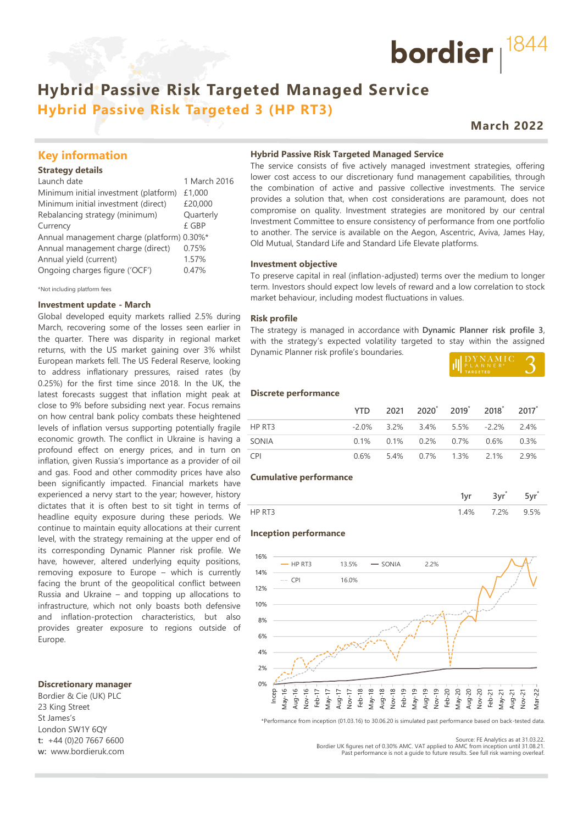## **Hybrid Passive Risk Targeted Managed Service Hybrid Passive Risk Targeted 3 (HP RT3)**

## **March 2022**

bordier  $1844$ 

### **Key information**

#### **Strategy details**

| Launch date                                | 1 March 2016 |
|--------------------------------------------|--------------|
| Minimum initial investment (platform)      | £1,000       |
| Minimum initial investment (direct)        | £20,000      |
| Rebalancing strategy (minimum)             | Quarterly    |
| Currency                                   | £ GBP        |
| Annual management charge (platform) 0.30%* |              |
| Annual management charge (direct)          | 0.75%        |
| Annual yield (current)                     | 1.57%        |
| Ongoing charges figure ('OCF')             | 0.47%        |
|                                            |              |

\*Not including platform fees

#### **Investment update - March**

Global developed equity markets rallied 2.5% during March, recovering some of the losses seen earlier in the quarter. There was disparity in regional market returns, with the US market gaining over 3% whilst European markets fell. The US Federal Reserve, looking to address inflationary pressures, raised rates (by 0.25%) for the first time since 2018. In the UK, the latest forecasts suggest that inflation might peak at close to 9% before subsiding next year. Focus remains on how central bank policy combats these heightened levels of inflation versus supporting potentially fragile economic growth. The conflict in Ukraine is having a profound effect on energy prices, and in turn on inflation, given Russia's importance as a provider of oil and gas. Food and other commodity prices have also been significantly impacted. Financial markets have experienced a nervy start to the year; however, history dictates that it is often best to sit tight in terms of headline equity exposure during these periods. We continue to maintain equity allocations at their current level, with the strategy remaining at the upper end of its corresponding Dynamic Planner risk profile. We have, however, altered underlying equity positions, removing exposure to Europe – which is currently facing the brunt of the geopolitical conflict between Russia and Ukraine – and topping up allocations to infrastructure, which not only boasts both defensive and inflation-protection characteristics, but also provides greater exposure to regions outside of Europe.

#### **Discretionary manager**

Bordier & Cie (UK) PLC 23 King Street St James's London SW1Y 6QY **t:** +44 (0)20 7667 6600 **w:** www.bordieruk.com

#### **Hybrid Passive Risk Targeted Managed Service**

The service consists of five actively managed investment strategies, offering lower cost access to our discretionary fund management capabilities, through the combination of active and passive collective investments. The service provides a solution that, when cost considerations are paramount, does not compromise on quality. Investment strategies are monitored by our central Investment Committee to ensure consistency of performance from one portfolio to another. The service is available on the Aegon, Ascentric, Aviva, James Hay, Old Mutual, Standard Life and Standard Life Elevate platforms.

#### **Investment objective**

To preserve capital in real (inflation-adjusted) terms over the medium to longer term. Investors should expect low levels of reward and a low correlation to stock market behaviour, including modest fluctuations in values.

#### **Risk profile**

The strategy is managed in accordance with **Dynamic Planner risk profile 3**, with the strategy's expected volatility targeted to stay within the assigned Dynamic Planner risk profile's boundaries.

| II DYNAMIC |  |
|------------|--|
|            |  |

#### **Discrete performance**

|            |  | YTD 2021 2020 2019 2018 2017          |  |
|------------|--|---------------------------------------|--|
| HP RT3     |  | $-2.0\%$ 3.2% 3.4% 5.5% $-2.2\%$ 2.4% |  |
| SONIA      |  | $0.1\%$ 0.1% 0.2% 0.7% 0.6% 0.3%      |  |
| <b>CPI</b> |  | 0.6% 5.4% 0.7% 1.3% 2.1% 2.9%         |  |

#### **Cumulative performance**

| $\lambda$ | 2% | 5% |
|-----------|----|----|

#### **Inception performance**



\*Performance from inception (01.03.16) to 30.06.20 is simulated past performance based on back-tested data.

Bordier UK figures net of 0.30% AMC. VAT applied to AMC from inception until 31.08.21. Past performance is not a guide to future results. See full risk warning overleaf.

Source: FE Analytics as at 31.03.22.